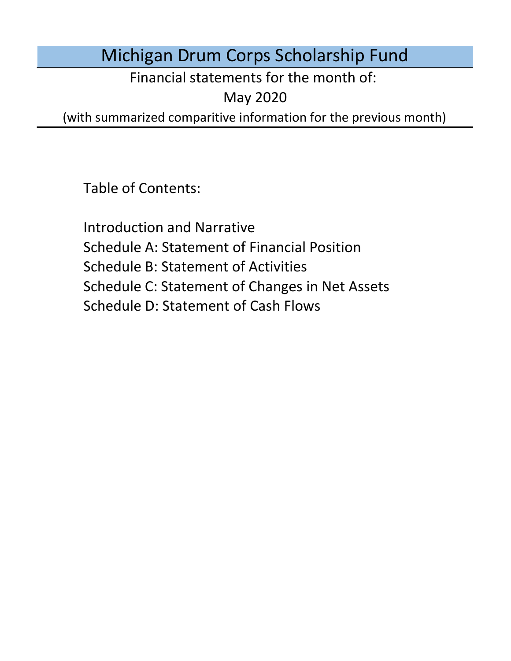# Michigan Drum Corps Scholarship Fund

Financial statements for the month of:

May 2020

(with summarized comparitive information for the previous month)

Table of Contents:

Schedule D: Statement of Cash Flows Introduction and Narrative Schedule A: Statement of Financial Position Schedule B: Statement of Activities Schedule C: Statement of Changes in Net Assets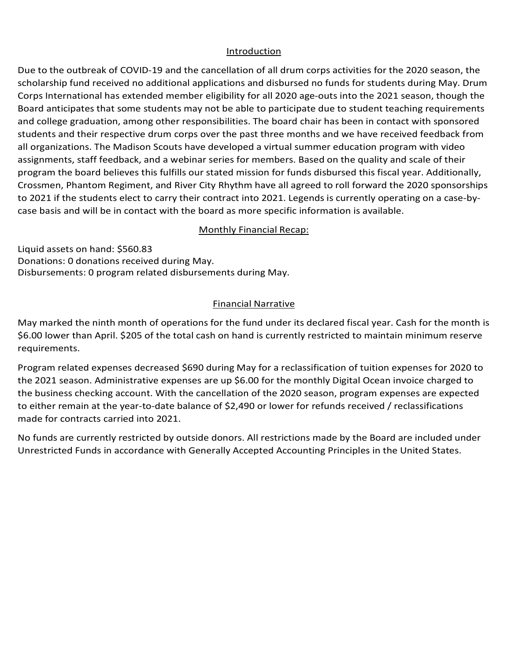#### Introduction Introduction

Introduction<br>Due to the outbreak of COVID-19 and the cancellation of all drum corps activities for the 2020 season, the scholarship fund received no additional applications and disbursed no funds for students during May. Drum Corps International has extended member eligibility for all 2020 age-outs into the 2021 season, though the Board anticipates that some students may not be able to participate due to student teaching requirements and college graduation, among other responsibilities. The board chair has been in contact with sponsored<br>students and their respective drum corps over the past three months and we have received feedback from all organizations. The Madison Scouts have developed a virtual summer education program with video<br>assignments, staff feedback, and a webinar series for members. Based on the quality and scale of their an organizations: The Madison Seouts have developed a virtual summer education program with video<br>assignments, staff feedback, and a webinar series for members. Based on the quality and scale of their program the board believes this fulfills our stated mission for funds disbursed this fiscal year. Additionally, to 2021 if the students elect to carry their contract into 2021. Legends is currently operating on a case-byto 2021 if the students elect to carry their contract into 2021. Legends is currently operating on a case-by-<br>case basis and will be in contact with the board as more specific information is available. and college graduation, among other responsibilities. The board chair has been in contact with sponsored Crossmen, Phantom Regiment, and River City Rhythm have all agreed to roll forward the 2020 sponsorships case basis and will be in contact with the board as more specific information is available. Due to the outbreak of COVID-19 and the cancellation of all drum corps activities for the 2020 season, the scholarship fund received no additional applications and disbursed no funds for students during May. Drum Corps Int

### January marked the fifth month of operations for the fund under its declared fiscal year. Cash for the **Monthly Financial Recap:**

Liquid assets on hand: \$560.83 Donations: 0 donations received during May.<br>Piddonario and the control of the control of the control of the control of the control of the control of the c Disbursements: 0 program related disbursements during May. increased \$1,340 for tuiting February.<br>The contract of tuiting February. And in the contract of the contract of the contract of the contract of the c the board as more specific information is available.<br>
Monthly Financial Recap:<br>
and: \$560.83<br>
and: \$560.83<br>
program related disbursements during May.<br>
Financial Narrative<br>
inth month of operations for the fund under its de

#### no funds are currently restricted by outside donors. All restrictions made by the Board are included under under under the Board are included under the Board are included under the Board are included under the Board are in expenses are up the monthly Digital Ocean involved to the monthly Digital Ocean involved to the business checking account. The business checking account of the business checking account. The business checking account of th

May marked the ninth month of operations for the fund under its declared fiscal year. Cash for the month is way marked the militim month of operations for the fund differ its declared fiscal year. Cash for the month is<br>\$6.00 lower than April. \$205 of the total cash on hand is currently restricted to maintain minimum reserve No funds are currently restricted by outside donors. All restrictions made by the Board are included under under under under the Board are included under the Board are included under the Board are included under the Board requirements.

Program related expenses decreased \$690 during May for a reclassification of tuition expenses for 2020 to the 2021 season. Administrative expenses are up \$6.00 for the monthly Digital Ocean invoice charged to<br>the business checking account. With the cancellation of the 2020 season, program expenses are expected the business checking account. With the cancellation of the 2020 season, program expenses are expected to either remain at the year-to-date balance of \$2,490 or lower for refunds received / reclassifications made for contracts carried into 2021. to either remain at the year-to-date balance of \$2,490 or lower for refunds received / reclassifications<br>made for contracts carried into 2021.<br>No funds are currently restricted by outside donors. All restrictions made by t

Unrestricted Funds in accordance with Generally Accepted Accounting Principles in the United States.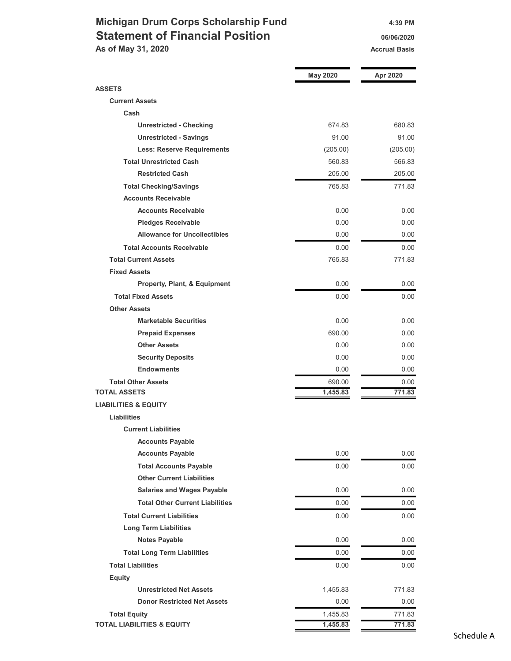### Michigan Drum Corps Scholarship Fund 4:39 PM Statement of Financial Position **1988** 06/06/2020 As of May 31, 2020 Accrual Basis Accrual Basis

| <b>ASSETS</b><br><b>Current Assets</b><br>Cash<br><b>Unrestricted - Checking</b><br>674.83<br>680.83<br>91.00<br>91.00<br><b>Unrestricted - Savings</b><br><b>Less: Reserve Requirements</b><br>(205.00)<br>(205.00)<br><b>Total Unrestricted Cash</b><br>560.83<br>566.83<br><b>Restricted Cash</b><br>205.00<br>205.00<br>765.83<br>771.83<br><b>Total Checking/Savings</b><br><b>Accounts Receivable</b><br><b>Accounts Receivable</b><br>0.00<br>0.00<br><b>Pledges Receivable</b><br>0.00<br>0.00<br><b>Allowance for Uncollectibles</b><br>0.00<br>0.00<br><b>Total Accounts Receivable</b><br>0.00<br>0.00<br><b>Total Current Assets</b><br>765.83<br>771.83<br><b>Fixed Assets</b><br>0.00<br>0.00<br>Property, Plant, & Equipment<br><b>Total Fixed Assets</b><br>0.00<br>0.00<br><b>Other Assets</b><br><b>Marketable Securities</b><br>0.00<br>0.00<br><b>Prepaid Expenses</b><br>690.00<br>0.00<br><b>Other Assets</b><br>0.00<br>0.00<br>0.00<br>0.00<br><b>Security Deposits</b><br><b>Endowments</b><br>0.00<br>0.00<br><b>Total Other Assets</b><br>690.00<br>0.00<br>1,455.83<br>771.83<br><b>TOTAL ASSETS</b><br><b>LIABILITIES &amp; EQUITY</b><br><b>Liabilities</b><br><b>Current Liabilities</b><br><b>Accounts Payable</b><br>0.00<br><b>Accounts Payable</b><br>0.00<br><b>Total Accounts Payable</b><br>0.00<br>0.00<br><b>Other Current Liabilities</b><br><b>Salaries and Wages Payable</b><br>0.00<br>0.00<br><b>Total Other Current Liabilities</b><br>0.00<br>0.00<br><b>Total Current Liabilities</b><br>0.00<br>0.00<br><b>Long Term Liabilities</b><br><b>Notes Payable</b><br>0.00<br>0.00<br>0.00<br><b>Total Long Term Liabilities</b><br>0.00<br><b>Total Liabilities</b><br>0.00<br>$0.00\,$<br>Equity<br><b>Unrestricted Net Assets</b><br>1,455.83<br>771.83<br><b>Donor Restricted Net Assets</b><br>0.00<br>0.00<br><b>Total Equity</b><br>1,455.83<br>771.83<br><b>TOTAL LIABILITIES &amp; EQUITY</b><br>1,455.83<br>771.83 | <b>May 2020</b> | Apr 2020 |
|-------------------------------------------------------------------------------------------------------------------------------------------------------------------------------------------------------------------------------------------------------------------------------------------------------------------------------------------------------------------------------------------------------------------------------------------------------------------------------------------------------------------------------------------------------------------------------------------------------------------------------------------------------------------------------------------------------------------------------------------------------------------------------------------------------------------------------------------------------------------------------------------------------------------------------------------------------------------------------------------------------------------------------------------------------------------------------------------------------------------------------------------------------------------------------------------------------------------------------------------------------------------------------------------------------------------------------------------------------------------------------------------------------------------------------------------------------------------------------------------------------------------------------------------------------------------------------------------------------------------------------------------------------------------------------------------------------------------------------------------------------------------------------------------------------------------------------------------------------------------------------------------------------------------------------------------------------------------------|-----------------|----------|
|                                                                                                                                                                                                                                                                                                                                                                                                                                                                                                                                                                                                                                                                                                                                                                                                                                                                                                                                                                                                                                                                                                                                                                                                                                                                                                                                                                                                                                                                                                                                                                                                                                                                                                                                                                                                                                                                                                                                                                         |                 |          |
|                                                                                                                                                                                                                                                                                                                                                                                                                                                                                                                                                                                                                                                                                                                                                                                                                                                                                                                                                                                                                                                                                                                                                                                                                                                                                                                                                                                                                                                                                                                                                                                                                                                                                                                                                                                                                                                                                                                                                                         |                 |          |
|                                                                                                                                                                                                                                                                                                                                                                                                                                                                                                                                                                                                                                                                                                                                                                                                                                                                                                                                                                                                                                                                                                                                                                                                                                                                                                                                                                                                                                                                                                                                                                                                                                                                                                                                                                                                                                                                                                                                                                         |                 |          |
|                                                                                                                                                                                                                                                                                                                                                                                                                                                                                                                                                                                                                                                                                                                                                                                                                                                                                                                                                                                                                                                                                                                                                                                                                                                                                                                                                                                                                                                                                                                                                                                                                                                                                                                                                                                                                                                                                                                                                                         |                 |          |
|                                                                                                                                                                                                                                                                                                                                                                                                                                                                                                                                                                                                                                                                                                                                                                                                                                                                                                                                                                                                                                                                                                                                                                                                                                                                                                                                                                                                                                                                                                                                                                                                                                                                                                                                                                                                                                                                                                                                                                         |                 |          |
|                                                                                                                                                                                                                                                                                                                                                                                                                                                                                                                                                                                                                                                                                                                                                                                                                                                                                                                                                                                                                                                                                                                                                                                                                                                                                                                                                                                                                                                                                                                                                                                                                                                                                                                                                                                                                                                                                                                                                                         |                 |          |
|                                                                                                                                                                                                                                                                                                                                                                                                                                                                                                                                                                                                                                                                                                                                                                                                                                                                                                                                                                                                                                                                                                                                                                                                                                                                                                                                                                                                                                                                                                                                                                                                                                                                                                                                                                                                                                                                                                                                                                         |                 |          |
|                                                                                                                                                                                                                                                                                                                                                                                                                                                                                                                                                                                                                                                                                                                                                                                                                                                                                                                                                                                                                                                                                                                                                                                                                                                                                                                                                                                                                                                                                                                                                                                                                                                                                                                                                                                                                                                                                                                                                                         |                 |          |
|                                                                                                                                                                                                                                                                                                                                                                                                                                                                                                                                                                                                                                                                                                                                                                                                                                                                                                                                                                                                                                                                                                                                                                                                                                                                                                                                                                                                                                                                                                                                                                                                                                                                                                                                                                                                                                                                                                                                                                         |                 |          |
|                                                                                                                                                                                                                                                                                                                                                                                                                                                                                                                                                                                                                                                                                                                                                                                                                                                                                                                                                                                                                                                                                                                                                                                                                                                                                                                                                                                                                                                                                                                                                                                                                                                                                                                                                                                                                                                                                                                                                                         |                 |          |
|                                                                                                                                                                                                                                                                                                                                                                                                                                                                                                                                                                                                                                                                                                                                                                                                                                                                                                                                                                                                                                                                                                                                                                                                                                                                                                                                                                                                                                                                                                                                                                                                                                                                                                                                                                                                                                                                                                                                                                         |                 |          |
|                                                                                                                                                                                                                                                                                                                                                                                                                                                                                                                                                                                                                                                                                                                                                                                                                                                                                                                                                                                                                                                                                                                                                                                                                                                                                                                                                                                                                                                                                                                                                                                                                                                                                                                                                                                                                                                                                                                                                                         |                 |          |
|                                                                                                                                                                                                                                                                                                                                                                                                                                                                                                                                                                                                                                                                                                                                                                                                                                                                                                                                                                                                                                                                                                                                                                                                                                                                                                                                                                                                                                                                                                                                                                                                                                                                                                                                                                                                                                                                                                                                                                         |                 |          |
|                                                                                                                                                                                                                                                                                                                                                                                                                                                                                                                                                                                                                                                                                                                                                                                                                                                                                                                                                                                                                                                                                                                                                                                                                                                                                                                                                                                                                                                                                                                                                                                                                                                                                                                                                                                                                                                                                                                                                                         |                 |          |
|                                                                                                                                                                                                                                                                                                                                                                                                                                                                                                                                                                                                                                                                                                                                                                                                                                                                                                                                                                                                                                                                                                                                                                                                                                                                                                                                                                                                                                                                                                                                                                                                                                                                                                                                                                                                                                                                                                                                                                         |                 |          |
|                                                                                                                                                                                                                                                                                                                                                                                                                                                                                                                                                                                                                                                                                                                                                                                                                                                                                                                                                                                                                                                                                                                                                                                                                                                                                                                                                                                                                                                                                                                                                                                                                                                                                                                                                                                                                                                                                                                                                                         |                 |          |
|                                                                                                                                                                                                                                                                                                                                                                                                                                                                                                                                                                                                                                                                                                                                                                                                                                                                                                                                                                                                                                                                                                                                                                                                                                                                                                                                                                                                                                                                                                                                                                                                                                                                                                                                                                                                                                                                                                                                                                         |                 |          |
|                                                                                                                                                                                                                                                                                                                                                                                                                                                                                                                                                                                                                                                                                                                                                                                                                                                                                                                                                                                                                                                                                                                                                                                                                                                                                                                                                                                                                                                                                                                                                                                                                                                                                                                                                                                                                                                                                                                                                                         |                 |          |
|                                                                                                                                                                                                                                                                                                                                                                                                                                                                                                                                                                                                                                                                                                                                                                                                                                                                                                                                                                                                                                                                                                                                                                                                                                                                                                                                                                                                                                                                                                                                                                                                                                                                                                                                                                                                                                                                                                                                                                         |                 |          |
|                                                                                                                                                                                                                                                                                                                                                                                                                                                                                                                                                                                                                                                                                                                                                                                                                                                                                                                                                                                                                                                                                                                                                                                                                                                                                                                                                                                                                                                                                                                                                                                                                                                                                                                                                                                                                                                                                                                                                                         |                 |          |
|                                                                                                                                                                                                                                                                                                                                                                                                                                                                                                                                                                                                                                                                                                                                                                                                                                                                                                                                                                                                                                                                                                                                                                                                                                                                                                                                                                                                                                                                                                                                                                                                                                                                                                                                                                                                                                                                                                                                                                         |                 |          |
|                                                                                                                                                                                                                                                                                                                                                                                                                                                                                                                                                                                                                                                                                                                                                                                                                                                                                                                                                                                                                                                                                                                                                                                                                                                                                                                                                                                                                                                                                                                                                                                                                                                                                                                                                                                                                                                                                                                                                                         |                 |          |
|                                                                                                                                                                                                                                                                                                                                                                                                                                                                                                                                                                                                                                                                                                                                                                                                                                                                                                                                                                                                                                                                                                                                                                                                                                                                                                                                                                                                                                                                                                                                                                                                                                                                                                                                                                                                                                                                                                                                                                         |                 |          |
|                                                                                                                                                                                                                                                                                                                                                                                                                                                                                                                                                                                                                                                                                                                                                                                                                                                                                                                                                                                                                                                                                                                                                                                                                                                                                                                                                                                                                                                                                                                                                                                                                                                                                                                                                                                                                                                                                                                                                                         |                 |          |
|                                                                                                                                                                                                                                                                                                                                                                                                                                                                                                                                                                                                                                                                                                                                                                                                                                                                                                                                                                                                                                                                                                                                                                                                                                                                                                                                                                                                                                                                                                                                                                                                                                                                                                                                                                                                                                                                                                                                                                         |                 |          |
|                                                                                                                                                                                                                                                                                                                                                                                                                                                                                                                                                                                                                                                                                                                                                                                                                                                                                                                                                                                                                                                                                                                                                                                                                                                                                                                                                                                                                                                                                                                                                                                                                                                                                                                                                                                                                                                                                                                                                                         |                 |          |
|                                                                                                                                                                                                                                                                                                                                                                                                                                                                                                                                                                                                                                                                                                                                                                                                                                                                                                                                                                                                                                                                                                                                                                                                                                                                                                                                                                                                                                                                                                                                                                                                                                                                                                                                                                                                                                                                                                                                                                         |                 |          |
|                                                                                                                                                                                                                                                                                                                                                                                                                                                                                                                                                                                                                                                                                                                                                                                                                                                                                                                                                                                                                                                                                                                                                                                                                                                                                                                                                                                                                                                                                                                                                                                                                                                                                                                                                                                                                                                                                                                                                                         |                 |          |
|                                                                                                                                                                                                                                                                                                                                                                                                                                                                                                                                                                                                                                                                                                                                                                                                                                                                                                                                                                                                                                                                                                                                                                                                                                                                                                                                                                                                                                                                                                                                                                                                                                                                                                                                                                                                                                                                                                                                                                         |                 |          |
|                                                                                                                                                                                                                                                                                                                                                                                                                                                                                                                                                                                                                                                                                                                                                                                                                                                                                                                                                                                                                                                                                                                                                                                                                                                                                                                                                                                                                                                                                                                                                                                                                                                                                                                                                                                                                                                                                                                                                                         |                 |          |
|                                                                                                                                                                                                                                                                                                                                                                                                                                                                                                                                                                                                                                                                                                                                                                                                                                                                                                                                                                                                                                                                                                                                                                                                                                                                                                                                                                                                                                                                                                                                                                                                                                                                                                                                                                                                                                                                                                                                                                         |                 |          |
|                                                                                                                                                                                                                                                                                                                                                                                                                                                                                                                                                                                                                                                                                                                                                                                                                                                                                                                                                                                                                                                                                                                                                                                                                                                                                                                                                                                                                                                                                                                                                                                                                                                                                                                                                                                                                                                                                                                                                                         |                 |          |
|                                                                                                                                                                                                                                                                                                                                                                                                                                                                                                                                                                                                                                                                                                                                                                                                                                                                                                                                                                                                                                                                                                                                                                                                                                                                                                                                                                                                                                                                                                                                                                                                                                                                                                                                                                                                                                                                                                                                                                         |                 |          |
|                                                                                                                                                                                                                                                                                                                                                                                                                                                                                                                                                                                                                                                                                                                                                                                                                                                                                                                                                                                                                                                                                                                                                                                                                                                                                                                                                                                                                                                                                                                                                                                                                                                                                                                                                                                                                                                                                                                                                                         |                 |          |
|                                                                                                                                                                                                                                                                                                                                                                                                                                                                                                                                                                                                                                                                                                                                                                                                                                                                                                                                                                                                                                                                                                                                                                                                                                                                                                                                                                                                                                                                                                                                                                                                                                                                                                                                                                                                                                                                                                                                                                         |                 |          |
|                                                                                                                                                                                                                                                                                                                                                                                                                                                                                                                                                                                                                                                                                                                                                                                                                                                                                                                                                                                                                                                                                                                                                                                                                                                                                                                                                                                                                                                                                                                                                                                                                                                                                                                                                                                                                                                                                                                                                                         |                 |          |
|                                                                                                                                                                                                                                                                                                                                                                                                                                                                                                                                                                                                                                                                                                                                                                                                                                                                                                                                                                                                                                                                                                                                                                                                                                                                                                                                                                                                                                                                                                                                                                                                                                                                                                                                                                                                                                                                                                                                                                         |                 |          |
|                                                                                                                                                                                                                                                                                                                                                                                                                                                                                                                                                                                                                                                                                                                                                                                                                                                                                                                                                                                                                                                                                                                                                                                                                                                                                                                                                                                                                                                                                                                                                                                                                                                                                                                                                                                                                                                                                                                                                                         |                 |          |
|                                                                                                                                                                                                                                                                                                                                                                                                                                                                                                                                                                                                                                                                                                                                                                                                                                                                                                                                                                                                                                                                                                                                                                                                                                                                                                                                                                                                                                                                                                                                                                                                                                                                                                                                                                                                                                                                                                                                                                         |                 |          |
|                                                                                                                                                                                                                                                                                                                                                                                                                                                                                                                                                                                                                                                                                                                                                                                                                                                                                                                                                                                                                                                                                                                                                                                                                                                                                                                                                                                                                                                                                                                                                                                                                                                                                                                                                                                                                                                                                                                                                                         |                 |          |
|                                                                                                                                                                                                                                                                                                                                                                                                                                                                                                                                                                                                                                                                                                                                                                                                                                                                                                                                                                                                                                                                                                                                                                                                                                                                                                                                                                                                                                                                                                                                                                                                                                                                                                                                                                                                                                                                                                                                                                         |                 |          |
|                                                                                                                                                                                                                                                                                                                                                                                                                                                                                                                                                                                                                                                                                                                                                                                                                                                                                                                                                                                                                                                                                                                                                                                                                                                                                                                                                                                                                                                                                                                                                                                                                                                                                                                                                                                                                                                                                                                                                                         |                 |          |
|                                                                                                                                                                                                                                                                                                                                                                                                                                                                                                                                                                                                                                                                                                                                                                                                                                                                                                                                                                                                                                                                                                                                                                                                                                                                                                                                                                                                                                                                                                                                                                                                                                                                                                                                                                                                                                                                                                                                                                         |                 |          |
|                                                                                                                                                                                                                                                                                                                                                                                                                                                                                                                                                                                                                                                                                                                                                                                                                                                                                                                                                                                                                                                                                                                                                                                                                                                                                                                                                                                                                                                                                                                                                                                                                                                                                                                                                                                                                                                                                                                                                                         |                 |          |
|                                                                                                                                                                                                                                                                                                                                                                                                                                                                                                                                                                                                                                                                                                                                                                                                                                                                                                                                                                                                                                                                                                                                                                                                                                                                                                                                                                                                                                                                                                                                                                                                                                                                                                                                                                                                                                                                                                                                                                         |                 |          |
|                                                                                                                                                                                                                                                                                                                                                                                                                                                                                                                                                                                                                                                                                                                                                                                                                                                                                                                                                                                                                                                                                                                                                                                                                                                                                                                                                                                                                                                                                                                                                                                                                                                                                                                                                                                                                                                                                                                                                                         |                 |          |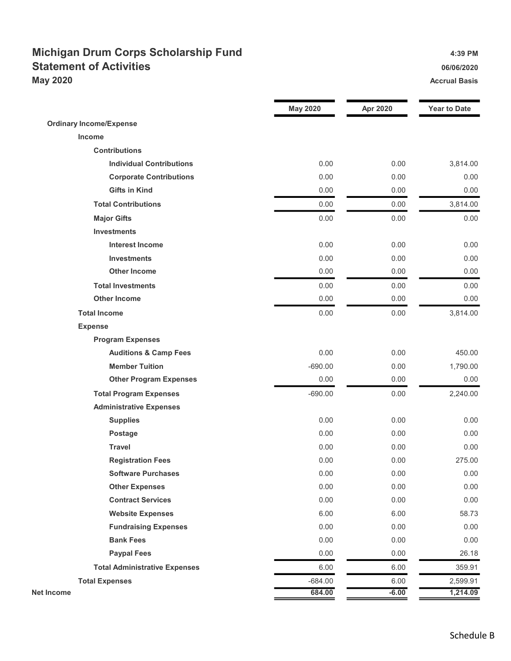## Michigan Drum Corps Scholarship Fund 4:39 PM Statement of Activities **Statement of Activities 16/06/2020** May 2020 Accrual Basis Accrual Basis Accrual Basis Accrual Basis Accrual Basis

|                                      | <b>May 2020</b> | Apr 2020 | <b>Year to Date</b> |
|--------------------------------------|-----------------|----------|---------------------|
| <b>Ordinary Income/Expense</b>       |                 |          |                     |
| <b>Income</b>                        |                 |          |                     |
| <b>Contributions</b>                 |                 |          |                     |
| <b>Individual Contributions</b>      | 0.00            | 0.00     | 3,814.00            |
| <b>Corporate Contributions</b>       | 0.00            | 0.00     | 0.00                |
| <b>Gifts in Kind</b>                 | 0.00            | 0.00     | 0.00                |
| <b>Total Contributions</b>           | 0.00            | 0.00     | 3,814.00            |
| <b>Major Gifts</b>                   | 0.00            | 0.00     | 0.00                |
| <b>Investments</b>                   |                 |          |                     |
| <b>Interest Income</b>               | 0.00            | 0.00     | 0.00                |
| <b>Investments</b>                   | 0.00            | 0.00     | 0.00                |
| <b>Other Income</b>                  | 0.00            | 0.00     | 0.00                |
| <b>Total Investments</b>             | 0.00            | 0.00     | 0.00                |
| <b>Other Income</b>                  | 0.00            | 0.00     | 0.00                |
| <b>Total Income</b>                  | 0.00            | 0.00     | 3,814.00            |
| <b>Expense</b>                       |                 |          |                     |
| <b>Program Expenses</b>              |                 |          |                     |
| <b>Auditions &amp; Camp Fees</b>     | 0.00            | 0.00     | 450.00              |
| <b>Member Tuition</b>                | $-690.00$       | 0.00     | 1,790.00            |
| <b>Other Program Expenses</b>        | 0.00            | 0.00     | 0.00                |
| <b>Total Program Expenses</b>        | $-690.00$       | 0.00     | 2,240.00            |
| <b>Administrative Expenses</b>       |                 |          |                     |
| <b>Supplies</b>                      | 0.00            | 0.00     | 0.00                |
| <b>Postage</b>                       | 0.00            | 0.00     | 0.00                |
| <b>Travel</b>                        | 0.00            | 0.00     | 0.00                |
| <b>Registration Fees</b>             | 0.00            | 0.00     | 275.00              |
| <b>Software Purchases</b>            | 0.00            | 0.00     | 0.00                |
| <b>Other Expenses</b>                | 0.00            | 0.00     | 0.00                |
| <b>Contract Services</b>             | 0.00            | 0.00     | 0.00                |
| <b>Website Expenses</b>              | 6.00            | 6.00     | 58.73               |
| <b>Fundraising Expenses</b>          | 0.00            | 0.00     | 0.00                |
| <b>Bank Fees</b>                     | 0.00            | 0.00     | 0.00                |
| <b>Paypal Fees</b>                   | 0.00            | 0.00     | 26.18               |
| <b>Total Administrative Expenses</b> | 6.00            | 6.00     | 359.91              |
| <b>Total Expenses</b>                | $-684.00$       | 6.00     | 2,599.91            |
| <b>Net Income</b>                    | 684.00          | $-6.00$  | 1,214.09            |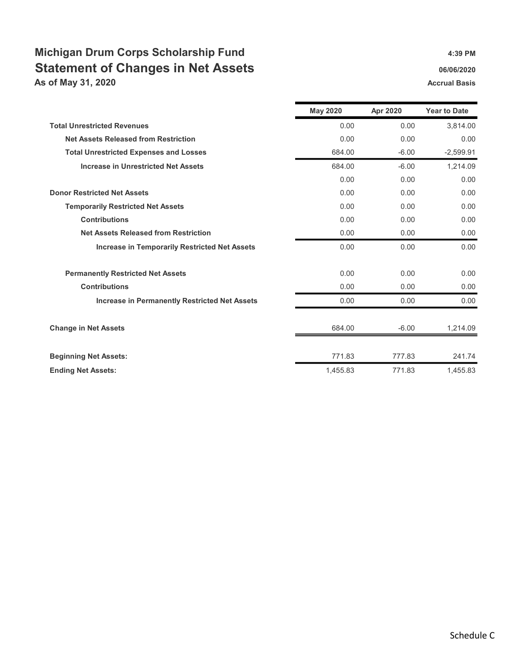## Michigan Drum Corps Scholarship Fund **Accords** 4:39 PM Statement of Changes in Net Assets **66/06/2020** 06/06/2020

As of May 31, 2020 **Accrual Basis** Accrual Basis Accrual Basis

|                                                      | <b>May 2020</b> | Apr 2020 | <b>Year to Date</b> |
|------------------------------------------------------|-----------------|----------|---------------------|
| <b>Total Unrestricted Revenues</b>                   | 0.00            | 0.00     | 3.814.00            |
| <b>Net Assets Released from Restriction</b>          | 0.00            | 0.00     | 0.00                |
| <b>Total Unrestricted Expenses and Losses</b>        | 684.00          | $-6.00$  | $-2.599.91$         |
| <b>Increase in Unrestricted Net Assets</b>           | 684.00          | $-6.00$  | 1,214.09            |
|                                                      | 0.00            | 0.00     | 0.00                |
| <b>Donor Restricted Net Assets</b>                   | 0.00            | 0.00     | 0.00                |
| <b>Temporarily Restricted Net Assets</b>             | 0.00            | 0.00     | 0.00                |
| <b>Contributions</b>                                 | 0.00            | 0.00     | 0.00                |
| <b>Net Assets Released from Restriction</b>          | 0.00            | 0.00     | 0.00                |
| <b>Increase in Temporarily Restricted Net Assets</b> | 0.00            | 0.00     | 0.00                |
| <b>Permanently Restricted Net Assets</b>             | 0.00            | 0.00     | 0.00                |
| <b>Contributions</b>                                 | 0.00            | 0.00     | 0.00                |
| <b>Increase in Permanently Restricted Net Assets</b> | 0.00            | 0.00     | 0.00                |
| <b>Change in Net Assets</b>                          | 684.00          | $-6.00$  | 1,214.09            |
| <b>Beginning Net Assets:</b>                         | 771.83          | 777.83   | 241.74              |
| <b>Ending Net Assets:</b>                            | 1,455.83        | 771.83   | 1,455.83            |